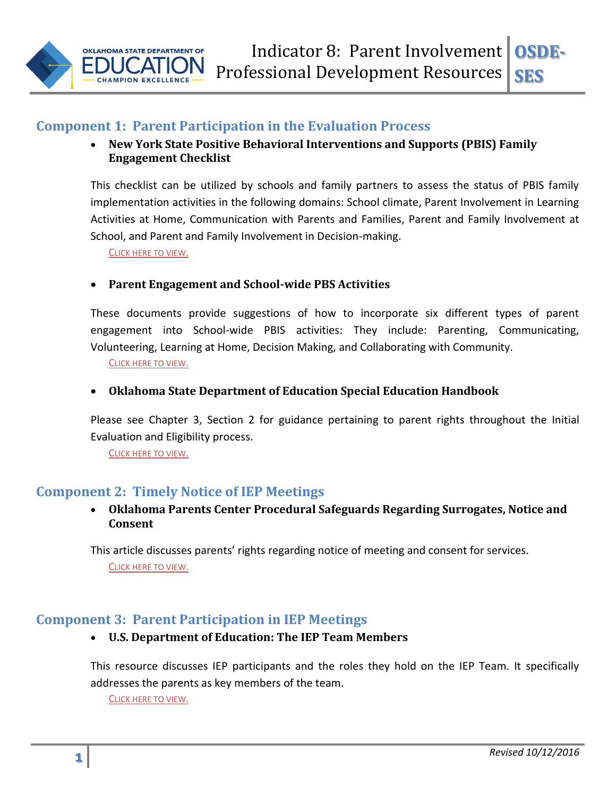

# **Component 1: Parent Participation in the Evaluation Process**

## **New York State Positive Behavioral Interventions and Supports (PBIS) Family Engagement Checklist**

This checklist can be utilized by schools and family partners to assess the status of PBIS family implementation activities in the following domains: School climate, Parent Involvement in Learning Activities at Home, Communication with Parents and Families, Parent and Family Involvement at School, and Parent and Family Involvement in Decision-making.

C[LICK HERE TO VIEW](http://nyspbis.org/Family/familyresources.cfm).

## **Parent Engagement and School-wide PBS Activities**

These documents provide suggestions of how to incorporate six different types of parent engagement into School-wide PBIS activities: They include: Parenting, Communicating, Volunteering, Learning at Home, Decision Making, and Collaborating with Community.

C[LICK HERE TO VIEW](http://nyspbis.org/Family/PDF/PBIS_Parent_Involvement.pdf).

#### **Oklahoma State Department of Education Special Education Handbook**

Please see Chapter 3, Section 2 for guidance pertaining to parent rights throughout the Initial Evaluation and Eligibility process.

C[LICK HERE TO VIEW](http://ok.gov/sde/sites/ok.gov.sde/files/documents/files/Oklahoma%20Special%20Education%20Handbook%20Manual.pdf).

# **Component 2: Timely Notice of IEP Meetings**

 **Oklahoma Parents Center Procedural Safeguards Regarding Surrogates, Notice and Consent**

This article discusses parents' rights regarding notice of meeting and consent for services. C[LICK HERE TO VIEW](http://oklahomaparentscenter.org/wp-content/uploads/2011/11/ProceduralSafeguards-Surrogates.pdf).

# **Component 3: Parent Participation in IEP Meetings**

#### **U.S. Department of Education: The IEP Team Members**

This resource discusses IEP participants and the roles they hold on the IEP Team. It specifically addresses the parents as key members of the team.

C[LICK HERE TO VIEW](http://www2.ed.gov/parents/needs/speced/iepguide/index.html#team).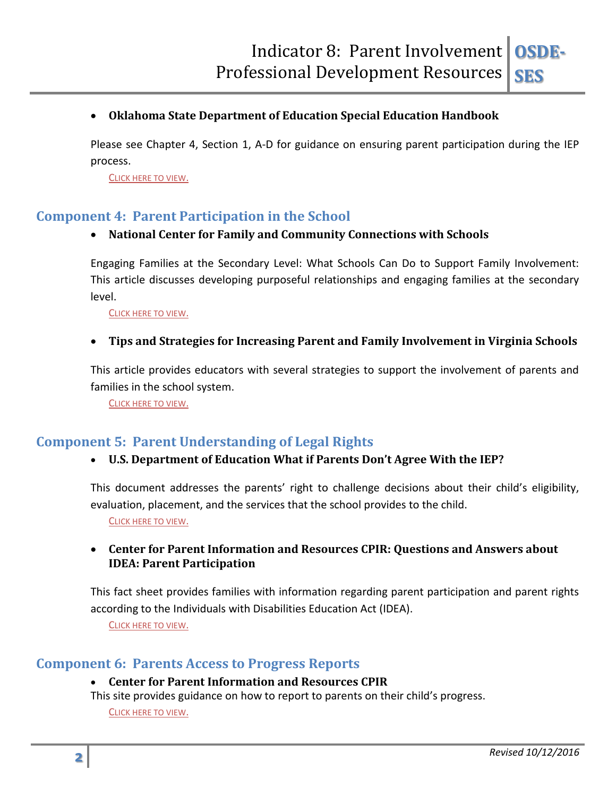## **Oklahoma State Department of Education Special Education Handbook**

Please see Chapter 4, Section 1, A-D for guidance on ensuring parent participation during the IEP process.

C[LICK HERE TO VIEW](http://sde.ok.gov/sde/sites/ok.gov.sde/files/documents/files/Oklahoma%20Special%20Education%20Handbook%20Manual.pdf).

# **Component 4: Parent Participation in the School**

#### **National Center for Family and Community Connections with Schools**

Engaging Families at the Secondary Level: What Schools Can Do to Support Family Involvement: This article discusses developing purposeful relationships and engaging families at the secondary level.

C[LICK HERE TO VIEW](http://www.sedl.org/connections/resources/rb/rb3-Secondary.pdf).

#### **Tips and Strategies for Increasing Parent and Family Involvement in Virginia Schools**

This article provides educators with several strategies to support the involvement of parents and families in the school system.

C[LICK HERE TO VIEW](http://www.partnership.vcu.edu/media/partner/documents/Partnership__Tips_and_Strategies_for_Increasing_Parent_Involvement.pdf).

# **Component 5: Parent Understanding of Legal Rights**

#### **U.S. Department of Education What if Parents Don't Agree With the IEP?**

This document addresses the parents' right to challenge decisions about their child's eligibility, evaluation, placement, and the services that the school provides to the child.

C[LICK HERE TO VIEW](http://www2.ed.gov/parents/needs/speced/iepguide/index.html#disagree).

#### **Center for Parent Information and Resources CPIR: Questions and Answers about IDEA: Parent Participation**

This fact sheet provides families with information regarding parent participation and parent rights according to the Individuals with Disabilities Education Act (IDEA).

C[LICK HERE TO VIEW](http://www.parentcenterhub.org/repository/qa2/).

## **Component 6: Parents Access to Progress Reports**

#### **Center for Parent Information and Resources CPIR**

This site provides guidance on how to report to parents on their child's progress.

C[LICK HERE TO VIEW](http://www.parentcenterhub.org/repository/iep-progress/).